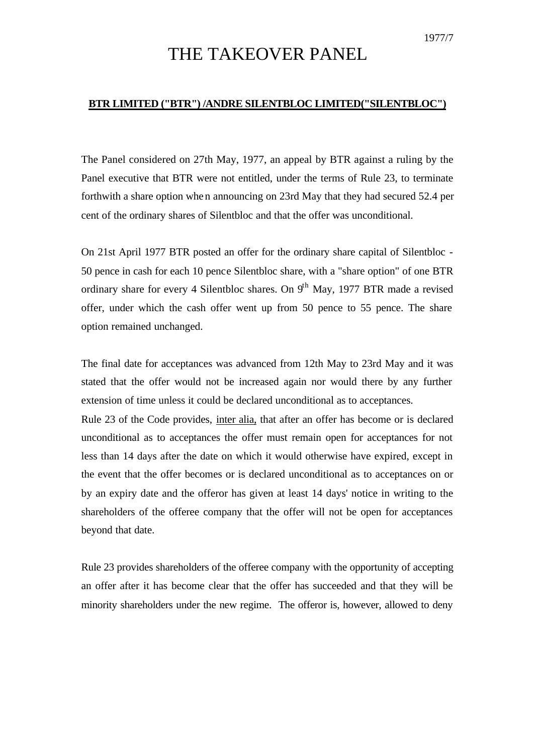## THE TAKEOVER PANEL

## **BTR LIMITED ("BTR") /ANDRE SILENTBLOC LIMITED("SILENTBLOC")**

The Panel considered on 27th May, 1977, an appeal by BTR against a ruling by the Panel executive that BTR were not entitled, under the terms of Rule 23, to terminate forthwith a share option when announcing on 23rd May that they had secured 52.4 per cent of the ordinary shares of Silentbloc and that the offer was unconditional.

On 21st April 1977 BTR posted an offer for the ordinary share capital of Silentbloc - 50 pence in cash for each 10 pence Silentbloc share, with a "share option" of one BTR ordinary share for every 4 Silentbloc shares. On  $9<sup>th</sup>$  May, 1977 BTR made a revised offer, under which the cash offer went up from 50 pence to 55 pence. The share option remained unchanged.

The final date for acceptances was advanced from 12th May to 23rd May and it was stated that the offer would not be increased again nor would there by any further extension of time unless it could be declared unconditional as to acceptances.

Rule 23 of the Code provides, inter alia, that after an offer has become or is declared unconditional as to acceptances the offer must remain open for acceptances for not less than 14 days after the date on which it would otherwise have expired, except in the event that the offer becomes or is declared unconditional as to acceptances on or by an expiry date and the offeror has given at least 14 days' notice in writing to the shareholders of the offeree company that the offer will not be open for acceptances beyond that date.

Rule 23 provides shareholders of the offeree company with the opportunity of accepting an offer after it has become clear that the offer has succeeded and that they will be minority shareholders under the new regime. The offeror is, however, allowed to deny